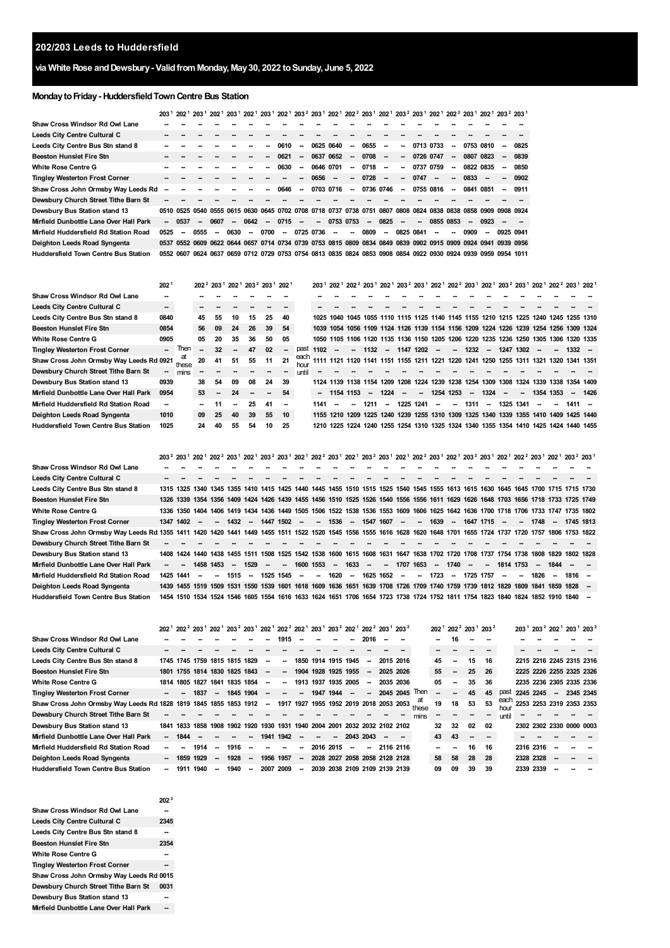# **via White Rose andDewsbury- ValidfromMonday, May30, 2022 toSunday, June 5, 2022**

# **MondaytoFriday- HuddersfieldTownCentre Bus Station**

**[2](#page-1-1)**

**[1](#page-1-0)**

**[1](#page-1-0)**

**[2](#page-1-1)**

**[1](#page-1-0)**

|                                     |    |         |                          |        |                          |                          | 0610                     | $\overline{\phantom{a}}$ |      |                          | $\overline{\phantom{a}}$ |                                                  | $\sim$                                                                                                  | --                                   |        |                          | $\overline{\phantom{a}}$ |                                     |                          | $\overline{\phantom{a}}$                                             | 0825                                                                                                                                                                                                                                                                                                                                                                                                                                                                                                                                                                                                                                               |
|-------------------------------------|----|---------|--------------------------|--------|--------------------------|--------------------------|--------------------------|--------------------------|------|--------------------------|--------------------------|--------------------------------------------------|---------------------------------------------------------------------------------------------------------|--------------------------------------|--------|--------------------------|--------------------------|-------------------------------------|--------------------------|----------------------------------------------------------------------|----------------------------------------------------------------------------------------------------------------------------------------------------------------------------------------------------------------------------------------------------------------------------------------------------------------------------------------------------------------------------------------------------------------------------------------------------------------------------------------------------------------------------------------------------------------------------------------------------------------------------------------------------|
|                                     |    |         |                          |        |                          |                          | 0621                     | ۰.                       |      |                          | $\overline{\phantom{a}}$ |                                                  | $\sim$                                                                                                  | $\overline{\phantom{a}}$             |        |                          | $\overline{\phantom{a}}$ |                                     |                          | $\overline{\phantom{a}}$                                             | 0839                                                                                                                                                                                                                                                                                                                                                                                                                                                                                                                                                                                                                                               |
|                                     |    |         |                          |        |                          | --                       | 0630                     | $\sim$                   |      |                          | $\sim$                   |                                                  | $\sim$                                                                                                  | $\overline{\phantom{a}}$             |        |                          | $\sim$                   |                                     |                          | $\sim$                                                               | 0850                                                                                                                                                                                                                                                                                                                                                                                                                                                                                                                                                                                                                                               |
|                                     |    |         |                          |        |                          |                          |                          |                          |      | $\sim$                   | $\overline{\phantom{a}}$ |                                                  | $\overline{\phantom{a}}$                                                                                | $\overline{\phantom{a}}$             |        | $\overline{\phantom{a}}$ | $\overline{\phantom{a}}$ |                                     | $\overline{\phantom{a}}$ |                                                                      | $-0902$                                                                                                                                                                                                                                                                                                                                                                                                                                                                                                                                                                                                                                            |
| Shaw Cross John Ormsby Way Leeds Rd |    |         |                          |        |                          |                          | 0646                     | $\overline{\phantom{a}}$ |      |                          | $\sim$                   |                                                  |                                                                                                         | $\overline{\phantom{a}}$             |        |                          | $\sim$                   |                                     |                          | $\overline{\phantom{a}}$                                             | 0911                                                                                                                                                                                                                                                                                                                                                                                                                                                                                                                                                                                                                                               |
|                                     |    |         |                          |        |                          |                          |                          |                          |      |                          |                          |                                                  |                                                                                                         |                                      |        |                          |                          |                                     |                          |                                                                      |                                                                                                                                                                                                                                                                                                                                                                                                                                                                                                                                                                                                                                                    |
|                                     |    |         |                          |        |                          |                          |                          |                          |      |                          |                          |                                                  |                                                                                                         |                                      |        |                          |                          |                                     |                          |                                                                      |                                                                                                                                                                                                                                                                                                                                                                                                                                                                                                                                                                                                                                                    |
|                                     |    | $\sim$  |                          | $\sim$ |                          | $\overline{\phantom{a}}$ |                          | $\overline{\phantom{a}}$ |      |                          |                          |                                                  |                                                                                                         | $\overline{\phantom{a}}$             | $\sim$ |                          |                          |                                     |                          |                                                                      |                                                                                                                                                                                                                                                                                                                                                                                                                                                                                                                                                                                                                                                    |
| 0525                                | -- |         | $\overline{\phantom{a}}$ |        | $\overline{\phantom{a}}$ |                          | $\overline{\phantom{a}}$ |                          |      | $\overline{\phantom{a}}$ | $\overline{\phantom{a}}$ |                                                  | $\sim$                                                                                                  |                                      |        | --                       | --                       |                                     | $\overline{\phantom{a}}$ |                                                                      |                                                                                                                                                                                                                                                                                                                                                                                                                                                                                                                                                                                                                                                    |
|                                     |    |         |                          |        |                          |                          |                          |                          |      |                          |                          |                                                  |                                                                                                         |                                      |        |                          |                          |                                     |                          |                                                                      |                                                                                                                                                                                                                                                                                                                                                                                                                                                                                                                                                                                                                                                    |
|                                     |    |         |                          |        |                          |                          |                          |                          |      |                          |                          |                                                  |                                                                                                         |                                      |        |                          |                          |                                     |                          |                                                                      |                                                                                                                                                                                                                                                                                                                                                                                                                                                                                                                                                                                                                                                    |
|                                     |    | $-0537$ | 0555                     | 0607   |                          | 0630                     | 0642                     | 0700                     | 0715 |                          | 0656<br>0725 0736        | 0625 0640<br>0637 0652<br>0646 0701<br>0703 0716 | 0655<br>0708<br>0510 0525 0540 0555 0615 0630 0645 0702 0708 0718 0737 0738 0751<br>$-07530753$<br>0809 | 0718<br>0728<br>0736 0746<br>$-0825$ |        | 0747<br>0825 0841        | 0726 0747<br>0737 0759   | 0713 0733<br>0755 0816<br>0855 0853 | 0909                     | 0753 0810<br>0807 0823<br>0822 0835<br>0833<br>0841 0851<br>$-0.923$ | 203 <sup>1</sup> 202 <sup>1</sup> 203 <sup>1</sup> 202 <sup>1</sup> 203 <sup>1</sup> 202 <sup>1</sup> 203 <sup>1</sup> 202 <sup>1</sup> 203 <sup>2</sup> 203 <sup>2</sup> 203 <sup>1</sup> 202 <sup>2</sup> 203 <sup>1</sup> 202 <sup>1</sup> 203 <sup>2</sup> 203 <sup>1</sup> 202 <sup>2</sup> 203 <sup>1</sup> 202 <sup>2</sup> 203 <sup>1</sup><br>0807 0808 0824 0838 0838 0858 0909 0908 0924<br>0925 0941<br>0537 0552 0609 0622 0644 0657 0714 0734 0739 0753 0815 0809 0834 0849 0839 0902 0915 0909 0924 0941 0939 0956<br>0552 0607 0624 0637 0659 0712 0729 0753 0754 0813 0835 0824 0853 0908 0854 0922 0930 0924 0939 0959 0954 1011 |

|                                             | 202 <sup>1</sup> |             |        |                          |    | 202 <sup>2</sup> 203 <sup>1</sup> 202 <sup>1</sup> 203 <sup>2</sup> 203 <sup>1</sup> 202 <sup>1</sup> |    |                          |       |      |                          |        |         |         |        |                     |                          |         |        |        | 203 <sup>1</sup> 202 <sup>1</sup> 202 <sup>2</sup> 203 <sup>1</sup> 202 <sup>1</sup> 203 <sup>2</sup> 203 <sup>1</sup> 202 <sup>1</sup> 202 <sup>2</sup> 203 <sup>1</sup> 202 <sup>1</sup> 203 <sup>2</sup> 203 <sup>1</sup> 202 <sup>1</sup> 202 <sup>2</sup> 203 <sup>1</sup> 202 <sup>1</sup> |           |          |                                                                                      |
|---------------------------------------------|------------------|-------------|--------|--------------------------|----|-------------------------------------------------------------------------------------------------------|----|--------------------------|-------|------|--------------------------|--------|---------|---------|--------|---------------------|--------------------------|---------|--------|--------|--------------------------------------------------------------------------------------------------------------------------------------------------------------------------------------------------------------------------------------------------------------------------------------------------|-----------|----------|--------------------------------------------------------------------------------------|
| Shaw Cross Windsor Rd Owl Lane              |                  |             |        |                          |    |                                                                                                       |    |                          |       |      |                          |        |         |         |        |                     |                          |         |        |        |                                                                                                                                                                                                                                                                                                  |           |          |                                                                                      |
| <b>Leeds City Centre Cultural C</b>         | --               |             |        |                          |    |                                                                                                       |    |                          |       |      |                          |        |         |         |        |                     |                          |         |        |        |                                                                                                                                                                                                                                                                                                  |           |          |                                                                                      |
| Leeds City Centre Bus Stn stand 8           | 0840             |             | 45     | 55                       | 10 | 15                                                                                                    | 25 | 40                       |       |      |                          |        |         |         |        |                     |                          |         |        |        | 1040 1045 1055 1110 1115 1125 1140 1145 1155 1210 1215 1225 1240 1245 1255 1310                                                                                                                                                                                                                  |           |          |                                                                                      |
| <b>Beeston Hunslet Fire Stn</b>             | 0854             |             | 56     | 09                       | 24 | 26                                                                                                    | 39 | -54                      |       |      |                          |        |         |         |        |                     |                          |         |        |        | 1039 1054 1056 1109 1124 1126 1139 1154 1156 1209 1224 1226 1239 1254 1256 1309 1324                                                                                                                                                                                                             |           |          |                                                                                      |
| <b>White Rose Centre G</b>                  | 0905             |             | 05     | 20                       | 35 | 36                                                                                                    | 50 | 05                       |       |      |                          |        |         |         |        |                     |                          |         |        |        | 1050 1105 1106 1120 1135 1136 1150 1205 1206 1220 1235 1236 1250 1305 1306 1320 1335                                                                                                                                                                                                             |           |          |                                                                                      |
| <b>Tingley Westerton Frost Corner</b>       |                  | Ther        |        | 32                       |    | 47                                                                                                    | 02 | $\overline{\phantom{a}}$ | past  | 1102 | $\overline{\phantom{a}}$ |        | $-1132$ | $\sim$  |        | 1147 1202           | $\sim$                   | $-1232$ | $\sim$ |        | 1247 1302                                                                                                                                                                                                                                                                                        | -         | $1332 -$ |                                                                                      |
| Shaw Cross John Ormsby Way Leeds Rd 0921    |                  | at<br>these | 20     | 41                       | 51 | 55                                                                                                    | 11 | 21                       | each  |      |                          |        |         |         |        |                     |                          |         |        |        | 1111 1121 1120 1141 1151 1155 1211 1221 1220 1241 1250 1255 1311 1321 1320 1341 1351                                                                                                                                                                                                             |           |          |                                                                                      |
| Dewsbury Church Street Tithe Barn St        | $\sim$           | mins        |        |                          |    |                                                                                                       |    | $\sim$                   | until |      |                          |        |         |         |        |                     |                          |         |        |        |                                                                                                                                                                                                                                                                                                  |           |          |                                                                                      |
| Dewsbury Bus Station stand 13               | 0939             |             | 38     | 54                       | 09 | 08                                                                                                    | 24 | 39                       |       |      | 1124 1139 1138 1154 1209 |        |         |         | 1208   | 1224 1239 1238 1254 |                          |         |        |        | 1309 1308 1324 1339 1338 1354 1409                                                                                                                                                                                                                                                               |           |          |                                                                                      |
| Mirfield Dunbottle Lane Over Hall Park      | 0954             |             | 53     | $\overline{\phantom{a}}$ | 24 | $\overline{\phantom{a}}$                                                                              | -- | 54                       |       |      | $-$ 1154 1153            |        |         | $-1224$ | $\sim$ | $\sim$              | 1254 1253                | $\sim$  | 1324   | $\sim$ | $\sim$                                                                                                                                                                                                                                                                                           | 1354 1353 |          | $- 1426$                                                                             |
| Mirfield Huddersfield Rd Station Road       | --               |             | $\sim$ |                          | -- | 25                                                                                                    | 41 | $\overline{\phantom{a}}$ |       | 1141 |                          | $\sim$ | 1211    | $\sim$  | 1225   | 1241                | $\overline{\phantom{a}}$ | $-1311$ | $\sim$ |        | 1325 1341                                                                                                                                                                                                                                                                                        | ۰.        | $1411 -$ |                                                                                      |
| Deighton Leeds Road Syngenta                | 1010             |             | 09     | 25                       | 40 | 39                                                                                                    | 55 | 10                       |       |      |                          |        |         |         |        |                     |                          |         |        |        |                                                                                                                                                                                                                                                                                                  |           |          | 1155 1210 1209 1225 1240 1239 1255 1310 1309 1325 1340 1339 1355 1410 1409 1425 1440 |
| <b>Huddersfield Town Centre Bus Station</b> | 1025             |             | 24     | 40                       | 55 | 54                                                                                                    | 10 | 25                       |       |      | 1210 1225                |        |         |         |        |                     |                          |         |        |        | 1224 1240 1255 1254 1310 1325 1324 1340 1355 1354 1410 1425 1424 1440 1455                                                                                                                                                                                                                       |           |          |                                                                                      |

|                                                                                                                                                                       |                          |           |                          |           |        |        |        |                            |                  |           |         |           |              |               |        |         |            |               |        |                          |                          |        |                          | 203 <sup>2</sup> 203 <sup>1</sup> 202 <sup>1</sup> 202 <sup>2</sup> 203 <sup>1</sup> 202 <sup>1</sup> 203 <sup>2</sup> 203 <sup>1</sup> 202 <sup>1</sup> 202 <sup>2</sup> 203 <sup>1</sup> 202 <sup>1</sup> 203 <sup>2</sup> 203 <sup>1</sup> 202 <sup>1</sup> 202 <sup>2</sup> 203 <sup>1</sup> 202 <sup>1</sup> 203 <sup>2</sup> 203 <sup>1</sup> 202 <sup>1</sup> 203 <sup>2</sup> 203 <sup>1</sup> |  |
|-----------------------------------------------------------------------------------------------------------------------------------------------------------------------|--------------------------|-----------|--------------------------|-----------|--------|--------|--------|----------------------------|------------------|-----------|---------|-----------|--------------|---------------|--------|---------|------------|---------------|--------|--------------------------|--------------------------|--------|--------------------------|--------------------------------------------------------------------------------------------------------------------------------------------------------------------------------------------------------------------------------------------------------------------------------------------------------------------------------------------------------------------------------------------------------|--|
| Shaw Cross Windsor Rd Owl Lane                                                                                                                                        |                          |           |                          |           |        |        |        |                            |                  |           |         |           |              |               |        |         |            |               |        |                          |                          |        |                          |                                                                                                                                                                                                                                                                                                                                                                                                        |  |
| <b>Leeds City Centre Cultural C</b>                                                                                                                                   |                          |           |                          |           |        |        |        |                            |                  |           |         |           |              |               |        |         |            |               |        |                          |                          |        |                          |                                                                                                                                                                                                                                                                                                                                                                                                        |  |
| Leeds City Centre Bus Stn stand 8                                                                                                                                     |                          |           |                          |           |        |        |        |                            |                  |           |         |           |              |               |        |         |            |               |        |                          |                          |        |                          | 1315 1325 1340 1345 1355 1410 1415 1425 1440 1445 1455 1510 1515 1525 1540 1545 1555 1613 1615 1630 1645 1645 1700 1715 1715 1730                                                                                                                                                                                                                                                                      |  |
| Beeston Hunslet Fire Stn                                                                                                                                              |                          |           |                          |           |        |        |        |                            |                  |           |         |           |              |               |        |         |            |               |        |                          |                          |        |                          | 1326 1339 1354 1356 1409 1424 1426 1439 1455 1456 1510 1525 1526 1540 1556 1556 1611 1629 1626 1648 1703 1656 1718 1733 1725 1749                                                                                                                                                                                                                                                                      |  |
| White Rose Centre G                                                                                                                                                   |                          |           |                          |           |        |        |        |                            |                  |           |         |           |              |               |        |         |            |               |        |                          |                          |        |                          | 1336 1350 1404 1406 1419 1434 1436 1449 1505 1506 1522 1538 1536 1553 1609 1606 1625 1642 1636 1700 1718 1706 1733 1747 1735 1802                                                                                                                                                                                                                                                                      |  |
| <b>Tingley Westerton Frost Corner</b>                                                                                                                                 |                          | 1347 1402 | $\overline{\phantom{a}}$ |           |        |        |        | $-$ 1432 $-$ 1447 1502 $-$ |                  |           | -- 1536 |           | -- 1547 1607 | $\sim$        |        | -- 1639 |            | -- 1647 1715  |        | $\overline{\phantom{a}}$ |                          | - 1748 | $\sim$                   | 1745 1813                                                                                                                                                                                                                                                                                                                                                                                              |  |
| Shaw Cross John Ormsby Way Leeds Rd 1355 1411 1420 1420 1441 1449 1455 1511 1522 1520 1545 1556 1555 1616 1628 1620 1648 1701 1655 1724 1737 1720 1757 1806 1753 1822 |                          |           |                          |           |        |        |        |                            |                  |           |         |           |              |               |        |         |            |               |        |                          |                          |        |                          |                                                                                                                                                                                                                                                                                                                                                                                                        |  |
| Dewsbury Church Street Tithe Barn St                                                                                                                                  |                          |           |                          |           |        |        |        |                            |                  |           |         |           |              |               |        |         |            |               |        |                          |                          |        |                          |                                                                                                                                                                                                                                                                                                                                                                                                        |  |
| Dewsbury Bus Station stand 13                                                                                                                                         |                          |           |                          |           |        |        |        |                            |                  |           |         |           |              |               |        |         |            |               |        |                          |                          |        |                          | 1408 1424 1440 1438 1455 1511 1508 1525 1542 1538 1600 1615 1608 1631 1647 1638 1702 1720 1708 1737 1754 1738 1808 1829 1802 1828                                                                                                                                                                                                                                                                      |  |
| Mirfield Dunbottle Lane Over Hall Park                                                                                                                                | $\overline{\phantom{a}}$ | $\sim$    |                          | 1458 1453 | $\sim$ | 1529   | $\sim$ | $\sim$                     |                  | 1600 1553 |         | $-1633 -$ |              | $- 1707$ 1653 |        |         | -- 1740 -- |               | $\sim$ |                          | 1814 1753 –              |        | 1844                     |                                                                                                                                                                                                                                                                                                                                                                                                        |  |
| Mirfield Huddersfield Rd Station Road                                                                                                                                 |                          | 1425 1441 | -                        | $\sim$    | 1515   | $\sim$ |        | 1525 1545                  | $\sim$ 100 $\mu$ |           | $-1620$ | $\sim$    | 1625 1652    | $\sim$        | $\sim$ | 1723    |            | $- 1725$ 1757 |        | $\sim$                   | $\overline{\phantom{a}}$ | 1826   | $\overline{\phantom{a}}$ | $1816 -$                                                                                                                                                                                                                                                                                                                                                                                               |  |
| Deighton Leeds Road Syngenta                                                                                                                                          |                          |           |                          |           |        |        |        |                            |                  |           |         |           |              |               |        |         |            |               |        |                          |                          |        |                          | 1439 1455 1519 1509 1531 1550 1539 1601 1618 1609 1636 1651 1639 1708 1726 1709 1740 1759 1739 1812 1829 1809 1841 1859 1828 -                                                                                                                                                                                                                                                                         |  |
| Huddersfield Town Centre Bus Station                                                                                                                                  |                          |           |                          |           |        |        |        |                            |                  |           |         |           |              |               |        |         |            |               |        |                          |                          |        |                          | 1454 1510 1534 1524 1546 1605 1554 1616 1633 1624 1651 1706 1654 1723 1738 1724 1752 1811 1754 1823 1840 1824 1852 1910 1840 --                                                                                                                                                                                                                                                                        |  |

**[2](#page-1-1)**

**[1](#page-1-0)**

**[2](#page-1-1)**

**[1](#page-1-0)**

**[1](#page-1-0)**

**[2](#page-1-1)**

**[1](#page-1-0)**

**[1](#page-1-0)**

|                                                                   |                          |           |      |                          |                               |        |        | 202 <sup>1</sup> 202 <sup>2</sup> 203 <sup>1</sup> 202 <sup>1</sup> 203 <sup>2</sup> 203 <sup>1</sup> 202 <sup>1</sup> 202 <sup>2</sup> 202 <sup>1</sup> 203 <sup>1</sup> 203 <sup>2</sup> 202 <sup>2</sup> 203 <sup>2</sup> 203 <sup>2</sup> |                          |                               |        |                          |                          |                               |           |                                               |    | 202 <sup>1</sup> 202 <sup>2</sup> 203 <sup>1</sup> 203 <sup>2</sup> |    |                          |              |           |    | 203 <sup>1</sup> 203 <sup>2</sup> 202 <sup>1</sup> 203 <sup>1</sup> 203 <sup>2</sup> |  |
|-------------------------------------------------------------------|--------------------------|-----------|------|--------------------------|-------------------------------|--------|--------|-----------------------------------------------------------------------------------------------------------------------------------------------------------------------------------------------------------------------------------------------|--------------------------|-------------------------------|--------|--------------------------|--------------------------|-------------------------------|-----------|-----------------------------------------------|----|---------------------------------------------------------------------|----|--------------------------|--------------|-----------|----|--------------------------------------------------------------------------------------|--|
| <b>Shaw Cross Windsor Rd Owl Lane</b>                             |                          |           |      |                          |                               |        |        | 1915                                                                                                                                                                                                                                          |                          |                               |        |                          | 2016                     |                               |           |                                               |    | 16                                                                  |    |                          |              |           |    |                                                                                      |  |
| <b>Leeds City Centre Cultural C</b>                               |                          |           |      |                          |                               |        |        |                                                                                                                                                                                                                                               |                          |                               |        |                          |                          |                               |           |                                               |    |                                                                     |    |                          |              |           |    |                                                                                      |  |
| Leeds City Centre Bus Stn stand 8                                 |                          |           |      |                          | 1745 1745 1759 1815 1815 1829 |        | --     | --                                                                                                                                                                                                                                            |                          | 1850 1914 1915 1945           |        |                          | $\sim$                   | 2015 2016                     |           |                                               | 45 |                                                                     | 15 | 16                       |              |           |    | 2215 2216 2245 2315 2316                                                             |  |
| <b>Beeston Hunslet Fire Stn</b>                                   |                          |           |      |                          | 1801 1755 1814 1830 1825 1843 |        | -      | -                                                                                                                                                                                                                                             |                          | 1904 1928 1925 1955           |        |                          | $\sim$                   | 2025 2026                     |           |                                               | 55 | --                                                                  | 25 | -26                      |              |           |    | 2225 2226 2255 2325 2326                                                             |  |
| <b>White Rose Centre G</b>                                        |                          | 1814 1805 | 1827 | 1841                     | 1835 1854                     |        | --     | -                                                                                                                                                                                                                                             |                          | 1913 1937 1935 2005           |        |                          | $\sim$                   | 2035 2036                     |           |                                               | 05 |                                                                     | 35 | 36                       |              |           |    | 2235 2236 2305 2335 2336                                                             |  |
| <b>Tingley Westerton Frost Corner</b>                             |                          |           | 1837 | $\sim$                   | 1845 1904                     |        | --     | $\overline{\phantom{a}}$                                                                                                                                                                                                                      | -                        | 1947 1944                     |        | $\overline{\phantom{a}}$ | $\overline{\phantom{a}}$ |                               | 2045 2045 | Then                                          |    |                                                                     | 45 | 45                       | past         | 2245 2245 |    | $-23452345$                                                                          |  |
| Shaw Cross John Ormsby Way Leeds Rd 1828 1819 1845 1855 1853 1912 |                          |           |      |                          |                               |        | $\sim$ |                                                                                                                                                                                                                                               |                          |                               |        |                          |                          |                               |           | 1917 1927 1955 1952 2019 2018 2053 2053 these | 19 | 18                                                                  | 53 | 53                       | each<br>hour |           |    | 2253 2253 2319 2353 2353                                                             |  |
| Dewsbury Church Street Tithe Barn St                              |                          |           |      |                          |                               |        |        |                                                                                                                                                                                                                                               |                          |                               |        |                          |                          |                               |           | mins                                          |    |                                                                     |    |                          | until        |           |    |                                                                                      |  |
| Dewsbury Bus Station stand 13                                     |                          |           |      |                          |                               |        |        | 1841 1833 1858 1908 1902 1920 1930 1931 1940 2004 2001 2032 2032 2102 2102                                                                                                                                                                    |                          |                               |        |                          |                          |                               |           |                                               | 32 | 32                                                                  | 02 | 02                       |              |           |    | 2302 2302 2330 0000 0003                                                             |  |
| Mirfield Dunbottle Lane Over Hall Park                            | $\sim$                   | 1844      |      |                          |                               |        |        | 1941 1942                                                                                                                                                                                                                                     | $\sim$                   |                               | $\sim$ | 2043 2043                |                          |                               |           |                                               | 43 | 43                                                                  | -  | $\overline{\phantom{a}}$ |              |           |    |                                                                                      |  |
| Mirfield Huddersfield Rd Station Road                             | $\sim$                   |           | 1914 | -                        | 1916                          | --     |        |                                                                                                                                                                                                                                               | --                       | 2016 2015                     |        | $\overline{\phantom{a}}$ | --                       | 2116 2116                     |           |                                               | -- |                                                                     | 16 | 16                       |              | 2316 2316 |    |                                                                                      |  |
| Deighton Leeds Road Syngenta                                      | $\sim$                   | 1859      | 1929 | $\overline{\phantom{a}}$ | 1928                          | $\sim$ |        | 1956 1957                                                                                                                                                                                                                                     | $\overline{\phantom{a}}$ | 2028 2027 2058 2058 2128 2128 |        |                          |                          |                               |           |                                               | 58 | 58                                                                  | 28 | 28                       |              | 2328 2328 | -- |                                                                                      |  |
| <b>Huddersfield Town Centre Bus Station</b>                       | $\overline{\phantom{a}}$ | 1911      | 1940 | -                        | 1940                          | $\sim$ |        | 2007 2009                                                                                                                                                                                                                                     | $\overline{\phantom{a}}$ |                               |        |                          |                          | 2039 2038 2109 2109 2139 2139 |           |                                               | 09 | 09                                                                  | 39 | 39                       |              | 2339 2339 |    |                                                                                      |  |

|                                          | 20 <sup>3</sup> |
|------------------------------------------|-----------------|
| Shaw Cross Windsor Rd Owl Lane           |                 |
| Leeds City Centre Cultural C             | 2345            |
| Leeds City Centre Bus Stn stand 8        |                 |
| <b>Beeston Hunslet Fire Stn</b>          | 2354            |
| <b>White Rose Centre G</b>               |                 |
| <b>Tingley Westerton Frost Corner</b>    |                 |
| Shaw Cross John Ormsby Way Leeds Rd 0015 |                 |
| Dewsbury Church Street Tithe Barn St     | 0031            |
| Dewsbury Bus Station stand 13            |                 |
| Mirfield Dunbottle Lane Over Hall Park   |                 |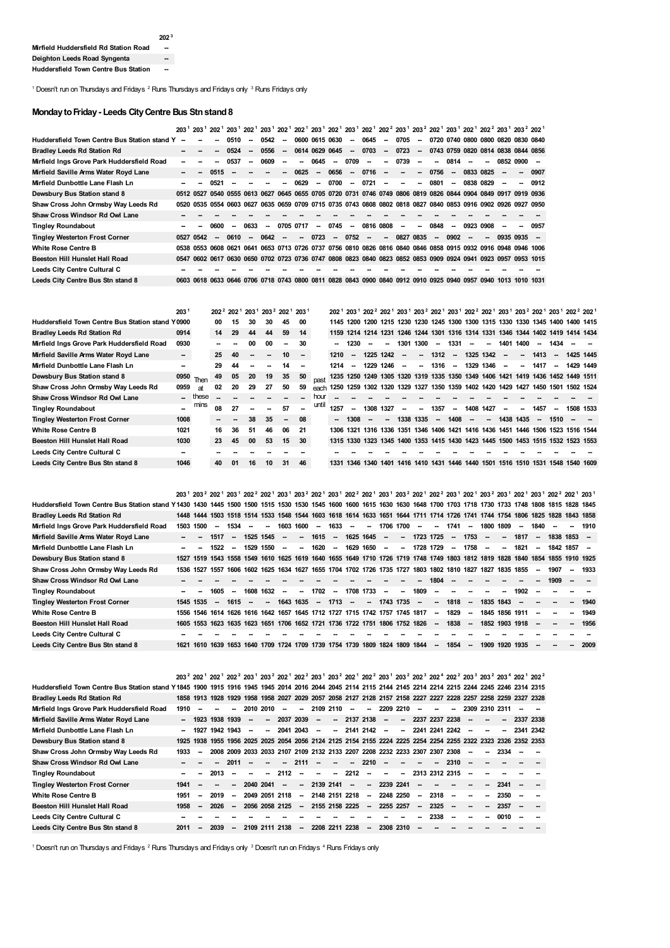<span id="page-1-2"></span><span id="page-1-1"></span>**--**

<span id="page-1-0"></span><sup>1</sup> Doesn't run on Thursdays and Fridays  $^2$  Runs Thursdays and Fridays only  $^3$  Runs Fridays only

# **MondaytoFriday- Leeds CityCentre Bus Stnstand8**

|                                                |    |           |      |                          |                          |                          |                          |                          |                          |                          |                          | 203 <sup>1</sup> 203 <sup>1</sup> 202 <sup>1</sup> 203 <sup>1</sup> 202 <sup>1</sup> 203 <sup>1</sup> 202 <sup>1</sup> 202 <sup>1</sup> 203 <sup>1</sup> 202 <sup>1</sup> 203 <sup>1</sup> 202 <sup>1</sup> 202 <sup>2</sup> 203 <sup>1</sup> 203 <sup>2</sup> 203 <sup>2</sup> 203 <sup>1</sup> 202 <sup>1</sup> 202 <sup>2</sup> 203 <sup>1</sup> 202 <sup>2</sup> |                          |           |                          |        |                          |           |                                    |                          |        |                                    |
|------------------------------------------------|----|-----------|------|--------------------------|--------------------------|--------------------------|--------------------------|--------------------------|--------------------------|--------------------------|--------------------------|----------------------------------------------------------------------------------------------------------------------------------------------------------------------------------------------------------------------------------------------------------------------------------------------------------------------------------------------------------------------|--------------------------|-----------|--------------------------|--------|--------------------------|-----------|------------------------------------|--------------------------|--------|------------------------------------|
| Huddersfield Town Centre Bus Station stand Y - |    |           |      | 0510                     | $\sim$                   | 0542                     | $\sim$                   | 0600 0615 0630           |                          |                          | $\sim$                   | 0645                                                                                                                                                                                                                                                                                                                                                                 | $\overline{\phantom{a}}$ | 0705      | $\sim$                   |        |                          |           |                                    |                          |        | 0720 0740 0800 0800 0820 0830 0840 |
| <b>Bradley Leeds Rd Station Rd</b>             |    |           |      | 0524                     | $\sim$                   | 0556                     | $\overline{\phantom{a}}$ | 0614 0629 0645           |                          |                          |                          | $-0703$                                                                                                                                                                                                                                                                                                                                                              | $\sim$                   | 0723      | $\sim$                   |        |                          |           | 0743 0759 0820 0814 0838 0844 0856 |                          |        |                                    |
| Mirfield Ings Grove Park Huddersfield Road     | -- |           |      | 0537                     | $\overline{\phantom{a}}$ | 0609                     | -                        | $\overline{\phantom{a}}$ | 0645                     | $\overline{\phantom{a}}$ | 0709                     | $\sim$                                                                                                                                                                                                                                                                                                                                                               | --                       | 0739      | $\overline{\phantom{a}}$ | $\sim$ | 0814                     | $\sim$    | -                                  | 0852 0900 -              |        |                                    |
| Mirfield Saville Arms Water Royd Lane          |    | --        | 0515 |                          |                          |                          |                          | $-0625$                  | $\sim$                   | 0656                     |                          | $-0716$                                                                                                                                                                                                                                                                                                                                                              | $\overline{\phantom{a}}$ | $\sim$    | $\overline{\phantom{a}}$ | 0756   | $\sim$                   | 0833 0825 |                                    |                          | $\sim$ | 0907                               |
| Mirfield Dunbottle Lane Flash Ln               |    | --        | 0521 | $\overline{\phantom{a}}$ |                          | $\overline{\phantom{a}}$ | $\sim$                   | 0629                     | $\overline{\phantom{a}}$ | 0700                     | $\sim$                   | 0721                                                                                                                                                                                                                                                                                                                                                                 | $\sim$                   | $\sim$    | --                       | 0801   | $\overline{\phantom{a}}$ |           | 0838 0829                          | $\overline{\phantom{a}}$ | -      | 0912                               |
| Dewsbury Bus Station stand 8                   |    | 0512 0527 |      |                          |                          |                          |                          |                          |                          |                          |                          | 0540 0555 0613 0627 0645 0655 0705 0720 0731 0746 0749 0806 0819 0826 0844 0904 0849 0917 0919 0936                                                                                                                                                                                                                                                                  |                          |           |                          |        |                          |           |                                    |                          |        |                                    |
| Shaw Cross John Ormsby Way Leeds Rd            |    |           |      |                          |                          |                          |                          |                          |                          |                          |                          | 0520 0535 0554 0603 0627 0635 0659 0709 0715 0735 0743 0808 0802 0818 0827 0840 0853 0916 0902 0926 0927 0950                                                                                                                                                                                                                                                        |                          |           |                          |        |                          |           |                                    |                          |        |                                    |
| Shaw Cross Windsor Rd Owl Lane                 |    |           |      |                          |                          |                          |                          |                          |                          |                          |                          |                                                                                                                                                                                                                                                                                                                                                                      |                          |           |                          |        |                          |           |                                    |                          |        |                                    |
| <b>Tingley Roundabout</b>                      |    |           | 0600 | $\overline{\phantom{a}}$ | 0633                     | $\sim$                   |                          | 0705 0717                | $\overline{\phantom{a}}$ | 0745                     | $\overline{\phantom{a}}$ | 0816 0808                                                                                                                                                                                                                                                                                                                                                            |                          | $\sim$    | --                       | 0848   | $\sim$                   |           | 0923 0908                          | $\overline{\phantom{a}}$ |        | 0957                               |
| <b>Tingley Westerton Frost Corner</b>          |    | 0527 0542 | --   | 0610                     | $\overline{\phantom{a}}$ | 0642                     | $\overline{\phantom{a}}$ | $\overline{\phantom{a}}$ | 0723                     | $\overline{\phantom{a}}$ | $0752 -$                 |                                                                                                                                                                                                                                                                                                                                                                      | $\overline{\phantom{a}}$ | 0827 0835 |                          | $\sim$ | 0902                     | $\sim$    | -                                  | $09350935 -$             |        |                                    |
| <b>White Rose Centre B</b>                     |    |           |      |                          |                          |                          |                          |                          |                          |                          |                          | 0538 0553 0608 0621 0641 0653 0713 0726 0737 0756 0810 0826 0816 0840 0846 0858 0915 0932 0916 0948 0946 1006                                                                                                                                                                                                                                                        |                          |           |                          |        |                          |           |                                    |                          |        |                                    |
| Beeston Hill Hunslet Hall Road                 |    |           |      |                          |                          |                          |                          |                          |                          |                          |                          | 0547 0602 0617 0630 0650 0702 0723 0736 0747 0808 0823 0840 0823 0852 0853 0909 0924 0941 0923 0957 0953 1015                                                                                                                                                                                                                                                        |                          |           |                          |        |                          |           |                                    |                          |        |                                    |
| Leeds City Centre Cultural C                   |    |           |      |                          |                          |                          |                          |                          |                          |                          |                          |                                                                                                                                                                                                                                                                                                                                                                      |                          |           |                          |        |                          |           |                                    |                          |        |                                    |
| Leeds City Centre Bus Stn stand 8              |    |           |      |                          |                          |                          |                          |                          |                          |                          |                          | 0603 0618 0633 0646 0706 0718 0743 0800 0811 0828 0843 0900 0840 0912 0910 0925 0940 0957 0940 1013 1010 1031                                                                                                                                                                                                                                                        |                          |           |                          |        |                          |           |                                    |                          |        |                                    |

|                                                         | 2031        |       |        |    |                          |        | 202 <sup>2</sup> 202 <sup>1</sup> 203 <sup>1</sup> 203 <sup>2</sup> 202 <sup>1</sup> 203 <sup>1</sup> |        |       |      |                |      |      |                          |                          |                                                                                 |                          |                          |      |                          |                          |        |                          |                |  |
|---------------------------------------------------------|-------------|-------|--------|----|--------------------------|--------|-------------------------------------------------------------------------------------------------------|--------|-------|------|----------------|------|------|--------------------------|--------------------------|---------------------------------------------------------------------------------|--------------------------|--------------------------|------|--------------------------|--------------------------|--------|--------------------------|----------------|--|
| <b>Huddersfield Town Centre Bus Station stand Y0900</b> |             |       | 00     | 15 | 30                       | 30     | 45                                                                                                    | 00     |       |      |                |      |      |                          |                          | 1145 1200 1200 1215 1230 1230 1245 1300 1300 1315 1330 1330 1345 1400 1400 1415 |                          |                          |      |                          |                          |        |                          |                |  |
| <b>Bradley Leeds Rd Station Rd</b>                      | 0914        |       | 14     | 29 | 44                       | 44     | 59                                                                                                    | 14     |       |      |                |      |      |                          |                          | 1159 1214 1214 1231 1246 1244 1301 1316 1314 1331 1346 1344 1402 1419 1414 1434 |                          |                          |      |                          |                          |        |                          |                |  |
| Mirfield Ings Grove Park Huddersfield Road              | 0930        |       |        |    | 00                       | 00     | --                                                                                                    | 30     |       |      | 1230           |      |      |                          | 1301 1300                | $\overline{\phantom{a}}$                                                        | 1331                     | $\overline{\phantom{a}}$ | --   | 1401                     | 1400                     | $\sim$ | 1434                     |                |  |
| Mirfield Saville Arms Water Royd Lane                   | $\sim$      |       | 25     | 40 | $\overline{\phantom{a}}$ | $\sim$ | 10                                                                                                    | $\sim$ |       | 1210 | --             | 1225 | 1242 | $\overline{\phantom{a}}$ | -                        | 1312                                                                            | $\overline{\phantom{a}}$ | 1325                     | 1342 | --                       | --                       | 1413   | $\overline{\phantom{a}}$ | 1425 1445      |  |
| Mirfield Dunbottle Lane Flash Ln                        |             |       | 29     | 44 | --                       | --     | 14                                                                                                    |        |       | 1214 | --             | 1229 | 1246 | $\overline{\phantom{a}}$ | $\overline{\phantom{a}}$ | 1316                                                                            | $\sim$                   | 1329                     | 1346 | $\overline{\phantom{a}}$ | --                       | 1417   | $\overline{\phantom{a}}$ | 1429 1449      |  |
| Dewsbury Bus Station stand 8                            | $0950$ Then |       | 49     | 05 | 20                       | 19     | 35                                                                                                    | 50     | past  | 1235 | 1250 1249 1305 |      |      |                          |                          | 1320 1319 1335 1350 1349 1406 1421 1419 1436 1452 1449 1511                     |                          |                          |      |                          |                          |        |                          |                |  |
| Shaw Cross John Ormsby Way Leeds Rd                     | 0959        | at    | 02     | 20 | 29                       | 27     | 50                                                                                                    | 59     | each  | 1250 |                |      |      |                          |                          | 1259 1302 1320 1329 1327 1350 1359 1402 1420 1429 1427 1450 1501 1502 1524      |                          |                          |      |                          |                          |        |                          |                |  |
| <b>Shaw Cross Windsor Rd Owl Lane</b>                   |             | these |        |    |                          |        |                                                                                                       |        | hour  |      |                |      |      |                          |                          |                                                                                 |                          |                          |      |                          |                          |        |                          |                |  |
| <b>Tingley Roundabout</b>                               |             | mins  | 08     | 27 |                          |        | 57                                                                                                    |        | until | 1257 | --             | 1308 | 1327 |                          |                          | 1357                                                                            |                          | 1408                     | 1427 |                          | $\overline{\phantom{a}}$ | 1457   | $\sim$                   | 1508 1533      |  |
| <b>Tingley Westerton Frost Corner</b>                   | 1008        |       | $\sim$ |    | 38                       | 35     | $\overline{\phantom{a}}$                                                                              | 08     |       |      | 1308           | --   |      |                          | 1338 1335                | $\overline{\phantom{a}}$                                                        | 1408                     | $\overline{\phantom{a}}$ | --   |                          | 1438 1435                |        | 1510                     |                |  |
| <b>White Rose Centre B</b>                              | 1021        |       | 16     | 36 | -51                      | 46     | 06                                                                                                    | -21    |       | 1306 | 1321           |      |      |                          |                          | 1316 1336 1351 1346 1406 1421 1416 1436 1451 1446 1506                          |                          |                          |      |                          |                          |        |                          | 1523 1516 1544 |  |
| Beeston Hill Hunslet Hall Road                          | 1030        |       | 23     | 45 | 00                       | 53     | 15                                                                                                    | 30     |       |      |                |      |      |                          |                          | 1315 1330 1323 1345 1400 1353 1415 1430 1423 1445 1500 1453 1515 1532 1523 1553 |                          |                          |      |                          |                          |        |                          |                |  |
| Leeds City Centre Cultural C                            |             |       |        |    |                          |        |                                                                                                       |        |       |      |                |      |      |                          |                          |                                                                                 |                          |                          |      |                          |                          |        |                          |                |  |
| Leeds City Centre Bus Stn stand 8                       | 1046        |       | 40     | 01 | 16                       | 10     | 31                                                                                                    | 46     |       | 1331 | 1346           | 1340 | 1401 | 1416                     |                          | 1410 1431 1446                                                                  |                          | 1440 1501                |      |                          | 1516 1510 1531           |        | 1548                     | 1540 1609      |  |

|                                                                                                                                                                          |           |                          |                          |           |                          |                          |                                                                            |        |                          |                          |        |               |                          |                          |        |                          |                          |                          |                                                                                                          |        |                          | 203 <sup>1</sup> 203 <sup>2</sup> 202 <sup>1</sup> 203 <sup>1</sup> 202 <sup>2</sup> 202 <sup>1</sup> 203 <sup>1</sup> 203 <sup>2</sup> 202 <sup>1</sup> 203 <sup>1</sup> 202 <sup>2</sup> 202 <sup>1</sup> 203 <sup>1</sup> 203 <sup>2</sup> 202 <sup>1</sup> 202 <sup>2</sup> 203 <sup>1</sup> 202 <sup>2</sup> 203 <sup>1</sup> 202 <sup>1</sup> 203 <sup>1</sup> 202 <sup>2</sup> 202 <sup>1</sup> 203 <sup>1</sup> |                                                                                                                              |
|--------------------------------------------------------------------------------------------------------------------------------------------------------------------------|-----------|--------------------------|--------------------------|-----------|--------------------------|--------------------------|----------------------------------------------------------------------------|--------|--------------------------|--------------------------|--------|---------------|--------------------------|--------------------------|--------|--------------------------|--------------------------|--------------------------|----------------------------------------------------------------------------------------------------------|--------|--------------------------|-------------------------------------------------------------------------------------------------------------------------------------------------------------------------------------------------------------------------------------------------------------------------------------------------------------------------------------------------------------------------------------------------------------------------|------------------------------------------------------------------------------------------------------------------------------|
| Huddersfield Town Centre Bus Station stand Y1430 1430 1445 1500 1500 1515 1530 1530 1545 1600 1600 1615 1630 1630 1648 1700 1703 1718 1730 1733 1748 1808 1815 1828 1845 |           |                          |                          |           |                          |                          |                                                                            |        |                          |                          |        |               |                          |                          |        |                          |                          |                          |                                                                                                          |        |                          |                                                                                                                                                                                                                                                                                                                                                                                                                         |                                                                                                                              |
| <b>Bradley Leeds Rd Station Rd</b>                                                                                                                                       |           |                          |                          |           |                          |                          |                                                                            |        |                          |                          |        |               |                          |                          |        |                          |                          |                          |                                                                                                          |        |                          | 1448 1444 1503 1518 1514 1533 1548 1544 1603 1618 1614 1633 1651 1644 1711 1714 1726 1741 1744 1754 1806 1825 1828 1843 1858                                                                                                                                                                                                                                                                                            |                                                                                                                              |
| Mirfield Ings Grove Park Huddersfield Road                                                                                                                               | 1503 1500 | $\sim$                   | 1534                     | --        | 1603                     | 1600                     | $\overline{\phantom{a}}$                                                   | 1633   | $\overline{\phantom{a}}$ | $\overline{\phantom{a}}$ |        | 1706 1700     | $\overline{\phantom{a}}$ | --                       | 1741   | $\overline{\phantom{a}}$ |                          | 1800 1809                | $\overline{\phantom{a}}$                                                                                 | 1840   | $\overline{\phantom{a}}$ | -                                                                                                                                                                                                                                                                                                                                                                                                                       | 1910                                                                                                                         |
| Mirfield Saville Arms Water Royd Lane                                                                                                                                    |           | 1517                     | $\overline{\phantom{a}}$ | 1525 1545 | $\sim$                   | $\overline{\phantom{a}}$ | 1615                                                                       | $\sim$ |                          | 1625 1645 -              |        | $\sim$        |                          | 1723 1725 -- 1753        |        |                          | $\overline{\phantom{a}}$ | $\sim$                   | 1817 –                                                                                                   |        |                          | 1838 1853 –                                                                                                                                                                                                                                                                                                                                                                                                             |                                                                                                                              |
| Mirfield Dunbottle Lane Flash Ln                                                                                                                                         |           | 1522                     | $\overline{\phantom{a}}$ | 1529 1550 | $\overline{\phantom{a}}$ | $\overline{\phantom{a}}$ | 1620                                                                       | $\sim$ |                          | 1629 1650 -              |        | $\sim$        |                          | 1728 1729                | $\sim$ | 1758                     | -                        | $\overline{\phantom{a}}$ | 1821                                                                                                     | $\sim$ |                          | 1842 1857 –                                                                                                                                                                                                                                                                                                                                                                                                             |                                                                                                                              |
| Dewsbury Bus Station stand 8                                                                                                                                             |           |                          |                          |           |                          |                          |                                                                            |        |                          |                          |        |               |                          |                          |        |                          |                          |                          |                                                                                                          |        |                          |                                                                                                                                                                                                                                                                                                                                                                                                                         | 1527 1519 1543 1558 1549 1610 1625 1619 1640 1655 1649 1710 1726 1719 1748 1749 1803 1812 1819 1828 1840 1854 1855 1910 1925 |
| Shaw Cross John Ormsby Way Leeds Rd                                                                                                                                      |           |                          |                          |           |                          |                          |                                                                            |        |                          |                          |        |               |                          |                          |        |                          |                          |                          | 1536 1527 1557 1606 1602 1625 1634 1627 1655 1704 1702 1726 1735 1727 1803 1802 1810 1827 1827 1835 1855 | $\sim$ | 1907                     | $\sim$                                                                                                                                                                                                                                                                                                                                                                                                                  | 1933                                                                                                                         |
| <b>Shaw Cross Windsor Rd Owl Lane</b>                                                                                                                                    |           |                          |                          |           |                          |                          |                                                                            |        |                          |                          |        |               |                          | 1804                     |        |                          |                          |                          |                                                                                                          |        | 1909                     |                                                                                                                                                                                                                                                                                                                                                                                                                         |                                                                                                                              |
| <b>Tingley Roundabout</b>                                                                                                                                                |           | 1605                     | $\sim$                   | 1608 1632 | $\sim$                   | $\sim$                   | 1702                                                                       | $\sim$ |                          | 1708 1733                | $\sim$ | $\sim$        | 1809                     | $\sim$                   | $\sim$ |                          | --                       | $\sim$                   | 1902                                                                                                     |        |                          |                                                                                                                                                                                                                                                                                                                                                                                                                         |                                                                                                                              |
| <b>Tingley Westerton Frost Corner</b>                                                                                                                                    | 1545 1535 | $\overline{\phantom{a}}$ | 1615                     | $\sim$    |                          |                          | 1643 1635 - 1713                                                           |        | $\overline{\phantom{a}}$ |                          |        | $- 1743$ 1735 | $\sim$                   | $\overline{\phantom{a}}$ | 1818   | $\sim$                   |                          | 1835 1843                | $\overline{\phantom{a}}$                                                                                 |        |                          |                                                                                                                                                                                                                                                                                                                                                                                                                         | 1940                                                                                                                         |
| <b>White Rose Centre B</b>                                                                                                                                               |           |                          |                          |           |                          |                          | 1556 1546 1614 1626 1616 1642 1657 1645 1712 1727 1715 1742 1757 1745 1817 |        |                          |                          |        |               |                          | $\sim$                   | 1829   | $\sim$                   |                          |                          | 1845 1856 1911                                                                                           |        |                          | --                                                                                                                                                                                                                                                                                                                                                                                                                      | 1949                                                                                                                         |
| Beeston Hill Hunslet Hall Road                                                                                                                                           |           |                          |                          |           |                          |                          | 1605 1553 1623 1635 1623 1651 1706 1652 1721 1736 1722 1751 1806 1752 1826 |        |                          |                          |        |               |                          | $\sim$                   | 1838   | $\sim$                   |                          |                          | 1852 1903 1918                                                                                           |        |                          |                                                                                                                                                                                                                                                                                                                                                                                                                         | 1956                                                                                                                         |
| Leeds City Centre Cultural C                                                                                                                                             |           |                          |                          |           |                          |                          |                                                                            |        |                          |                          |        |               |                          |                          |        |                          |                          |                          |                                                                                                          |        |                          |                                                                                                                                                                                                                                                                                                                                                                                                                         |                                                                                                                              |
| Leeds City Centre Bus Stn stand 8                                                                                                                                        |           |                          |                          |           |                          |                          | 1621 1610 1639 1653 1640 1709 1724 1709 1739 1754 1739 1809 1824 1809 1844 |        |                          |                          |        |               |                          | $\overline{\phantom{a}}$ | 1854   | $\sim$                   |                          |                          | 1909 1920 1935                                                                                           |        |                          | -                                                                                                                                                                                                                                                                                                                                                                                                                       | 2009                                                                                                                         |

|                                                  |        |                          |                          |                          |                          |                          |                          |                          |                          |                |                          |                                                                            |                          |           |                          |                          |                          |                          |                          |                          | 203 <sup>2</sup> 202 <sup>1</sup> 202 <sup>1</sup> 202 <sup>2</sup> 203 <sup>1</sup> 203 <sup>2</sup> 202 <sup>1</sup> 202 <sup>2</sup> 203 <sup>1</sup> 203 <sup>2</sup> 202 <sup>1</sup> 202 <sup>2</sup> 203 <sup>1</sup> 203 <sup>2</sup> 202 <sup>3</sup> 202 <sup>4</sup> 202 <sup>2</sup> 203 <sup>3</sup> 203 <sup>2</sup> 203 <sup>4</sup> 202 <sup>1</sup> |  |
|--------------------------------------------------|--------|--------------------------|--------------------------|--------------------------|--------------------------|--------------------------|--------------------------|--------------------------|--------------------------|----------------|--------------------------|----------------------------------------------------------------------------|--------------------------|-----------|--------------------------|--------------------------|--------------------------|--------------------------|--------------------------|--------------------------|----------------------------------------------------------------------------------------------------------------------------------------------------------------------------------------------------------------------------------------------------------------------------------------------------------------------------------------------------------------------|--|
| Huddersfield Town Centre Bus Station stand Y1845 |        |                          |                          |                          |                          |                          |                          |                          |                          |                |                          |                                                                            |                          |           |                          |                          |                          |                          |                          |                          | 1900 1915 1916 1945 1945 2014 2016 2044 2045 2114 2115 2144 2145 2214 2214 2215 2244 2245 2246 2314 2315                                                                                                                                                                                                                                                             |  |
| <b>Bradley Leeds Rd Station Rd</b>               |        |                          |                          |                          |                          |                          |                          |                          |                          |                |                          |                                                                            |                          |           |                          |                          |                          |                          |                          |                          | 1858 1913 1928 1929 1958 1958 2027 2029 2057 2058 2127 2128 2157 2158 2227 2227 2228 2257 2258 2259 2327 2328                                                                                                                                                                                                                                                        |  |
| Mirfield Ings Grove Park Huddersfield Road       | 1910   | --                       | $\overline{\phantom{a}}$ | $\overline{\phantom{a}}$ |                          | 2010 2010                | $\overline{\phantom{a}}$ | $\sim$                   | 2109 2110                |                | $\overline{\phantom{a}}$ | $\sim$                                                                     | 2209 2210                |           | --                       | $\overline{\phantom{a}}$ | --                       |                          |                          | 2309 2310 2311           |                                                                                                                                                                                                                                                                                                                                                                      |  |
| Mirfield Saville Arms Water Royd Lane            | $\sim$ |                          | 1923 1938 1939           |                          | $\overline{\phantom{a}}$ | $\overline{\phantom{a}}$ |                          | 2037 2039                | $\overline{\phantom{a}}$ |                |                          | $-21372138$                                                                | $\overline{\phantom{a}}$ |           |                          |                          | $-223722372238$          |                          |                          | $\sim$                   | 2337 2338                                                                                                                                                                                                                                                                                                                                                            |  |
| Mirfield Dunbottle Lane Flash Ln                 | --     | 1927                     |                          | 1942 1943                | $\overline{\phantom{a}}$ | $\sim$                   |                          | 2041 2043                | $\overline{\phantom{a}}$ |                |                          | $-21412142 -$                                                              |                          |           |                          |                          | $-224122412242$          | $\overline{\phantom{a}}$ |                          | $\overline{\phantom{a}}$ | 2341 2342                                                                                                                                                                                                                                                                                                                                                            |  |
| Dewsbury Bus Station stand 8                     | 1925   |                          |                          |                          |                          |                          |                          |                          |                          |                |                          |                                                                            |                          |           |                          |                          |                          |                          |                          |                          |                                                                                                                                                                                                                                                                                                                                                                      |  |
| Shaw Cross John Ormsby Way Leeds Rd              | 1933   | $\overline{\phantom{a}}$ |                          |                          |                          |                          |                          |                          |                          |                |                          | 2008 2009 2033 2033 2107 2109 2132 2133 2207 2208 2232 2233 2307 2307 2308 |                          |           |                          |                          |                          | $\overline{\phantom{a}}$ | $\overline{\phantom{a}}$ | $2334 -$                 |                                                                                                                                                                                                                                                                                                                                                                      |  |
| <b>Shaw Cross Windsor Rd Owl Lane</b>            |        |                          |                          | 2011                     |                          | $\overline{\phantom{a}}$ | $\overline{\phantom{a}}$ | 2111                     | $\overline{\phantom{a}}$ |                | $\sim$                   | 2210                                                                       | $\overline{\phantom{a}}$ |           | --                       |                          | $-2310$                  | $\overline{\phantom{a}}$ |                          |                          |                                                                                                                                                                                                                                                                                                                                                                      |  |
| <b>Tingley Roundabout</b>                        |        | -                        | 2013                     | $\overline{\phantom{a}}$ | $\overline{\phantom{a}}$ | $\overline{\phantom{a}}$ | 2112                     | $\overline{\phantom{a}}$ | $\sim$ 100 $\mu$         | $\sim$         | 2212                     | $\sim$                                                                     | $\sim$                   | $\sim$    |                          |                          | 2313 2312 2315           | $\overline{\phantom{a}}$ |                          |                          |                                                                                                                                                                                                                                                                                                                                                                      |  |
| <b>Tingley Westerton Frost Corner</b>            | 1941   | $\overline{\phantom{a}}$ |                          | $\overline{\phantom{a}}$ |                          | 2040 2041                | $\overline{\phantom{a}}$ | $\sim$                   | 2139 2141                |                | $\sim$                   | $\sim$                                                                     | 2239 2241                |           | $\overline{\phantom{a}}$ | --                       |                          |                          |                          | $-2341 -$                |                                                                                                                                                                                                                                                                                                                                                                      |  |
| <b>White Rose Centre B</b>                       | 1951   | $\sim$                   | 2019                     | $\sim$                   |                          | 2049 2051 2118           |                          | $\sim$                   |                          |                |                          | 2148 2151 2218 -- 2248 2250                                                |                          |           | $\overline{\phantom{a}}$ | 2318                     | $\overline{\phantom{a}}$ | $\overline{\phantom{a}}$ | $\sim$                   | 2350                     |                                                                                                                                                                                                                                                                                                                                                                      |  |
| Beeston Hill Hunslet Hall Road                   | 1958   | $\overline{\phantom{a}}$ | 2026                     | $\overline{\phantom{a}}$ |                          | 2056 2058 2125           |                          | $\sim$                   | 2155 2158 2225           |                |                          |                                                                            | $-22552257$              |           | $\overline{\phantom{a}}$ | 2325                     | $\overline{\phantom{a}}$ | $\overline{\phantom{a}}$ | $\sim$                   | 2357                     |                                                                                                                                                                                                                                                                                                                                                                      |  |
| Leeds City Centre Cultural C                     |        |                          |                          |                          |                          |                          |                          |                          |                          |                |                          |                                                                            |                          |           | --                       | 2338                     | --                       | --                       | $\overline{\phantom{a}}$ | 0010                     |                                                                                                                                                                                                                                                                                                                                                                      |  |
| Leeds City Centre Bus Stn stand 8                | 2011   | $\overline{\phantom{a}}$ | 2039                     | -                        |                          | 2109 2111 2138           |                          | $\overline{\phantom{a}}$ |                          | 2208 2211 2238 |                          | $\sim$                                                                     |                          | 2308 2310 | --                       |                          |                          |                          |                          |                          |                                                                                                                                                                                                                                                                                                                                                                      |  |

<span id="page-1-3"></span> $^1$  Doesn't run on Thursdays and Fridays  $^2$  Runs Thursdays and Fridays only  $^3$  Doesn't run on Fridays  $^4$  Runs Fridays only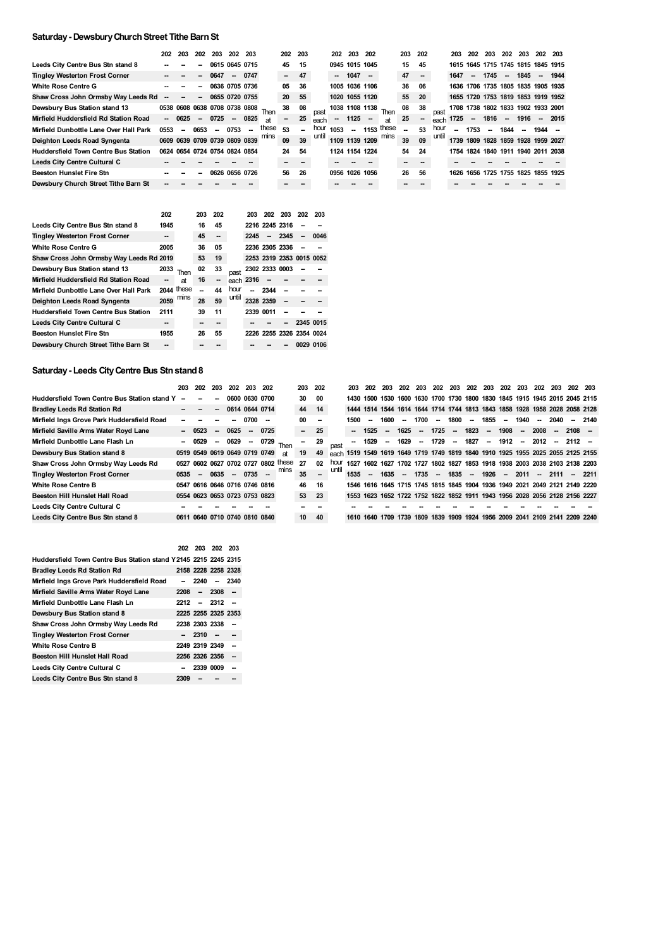# **Saturday- DewsburyChurchStreet Tithe BarnSt**

|                                             | 202  | 203                      | 202                      | 203                           | 202                      | 203                      |                                    | 202 203                  |        |       |                          | 202 203 202    |                          |                     | 203 | 202                      |       | 203                      | 202                      | 203                                | 202    | 203      | 202 203  |                                    |
|---------------------------------------------|------|--------------------------|--------------------------|-------------------------------|--------------------------|--------------------------|------------------------------------|--------------------------|--------|-------|--------------------------|----------------|--------------------------|---------------------|-----|--------------------------|-------|--------------------------|--------------------------|------------------------------------|--------|----------|----------|------------------------------------|
| Leeds City Centre Bus Stn stand 8           |      |                          | -                        | 0615 0645 0715                |                          |                          |                                    | 45                       | 15     |       |                          | 0945 1015 1045 |                          |                     | 15  | 45                       |       |                          |                          | 1615 1645 1715 1745 1815 1845 1915 |        |          |          |                                    |
| <b>Tingley Westerton Frost Corner</b>       |      |                          | -                        | 0647                          | $\sim$                   | 0747                     |                                    | $\overline{\phantom{a}}$ | 47     |       |                          | $- 1047$       | $\overline{\phantom{a}}$ |                     | 47  | $\overline{\phantom{a}}$ |       | 1647                     | $\overline{\phantom{a}}$ | 1745                               | $\sim$ | $1845 -$ |          | 1944                               |
| <b>White Rose Centre G</b>                  |      |                          | -                        | 0636 0705 0736                |                          |                          |                                    | 05                       | 36     |       |                          | 1005 1036 1106 |                          |                     | 36  | 06                       |       |                          |                          | 1636 1706 1735 1805 1835 1905 1935 |        |          |          |                                    |
| Shaw Cross John Ormsby Way Leeds Rd         |      | --                       | -                        | 0655 0720 0755                |                          |                          |                                    | 20                       | 55     |       |                          | 1020 1055 1120 |                          |                     | 55  | 20                       |       |                          |                          |                                    |        |          |          | 1655 1720 1753 1819 1853 1919 1952 |
| Dewsbury Bus Station stand 13               |      |                          |                          |                               |                          |                          | 0538 0608 0638 0708 0738 0808 Then | 38                       | 08     |       |                          |                | 1038 1108 1138           | Then                | 08  | 38                       |       |                          |                          | 1708 1738 1802 1833 1902 1933 2001 |        |          |          |                                    |
| Mirfield Huddersfield Rd Station Road       |      | $-0625$                  | $\overline{\phantom{a}}$ | 0725                          | $\overline{\phantom{a}}$ | 0825                     | яt                                 | $\overline{\phantom{a}}$ | 25     | each  | $\overline{\phantom{a}}$ | 1125           | $\overline{\phantom{a}}$ | <b>at</b>           | 25  | $\overline{\phantom{a}}$ | each  | 1725                     |                          | $- 1816$                           |        | - 1916   |          | $-2015$                            |
| Mirfield Dunbottle Lane Over Hall Park      | 0553 | $\overline{\phantom{a}}$ | 0653                     | $\sim$                        | 0753                     | $\overline{\phantom{a}}$ | these                              | 53                       | $\sim$ | hour  | 1053                     | $\sim$         |                          | $1153$ these        | --  | 53                       | hour  | $\overline{\phantom{a}}$ | 1753                     | $\sim$                             | 1844   | $\sim$   | $1944 -$ |                                    |
| Deighton Leeds Road Syngenta                |      |                          |                          | 0609 0639 0709 0739 0809 0839 |                          |                          | mins                               | 09                       | 39     | until |                          |                |                          | 1109 1139 1209 mins | 39  | 09                       | until |                          |                          | 1739 1809 1828 1859 1928 1959 2027 |        |          |          |                                    |
| <b>Huddersfield Town Centre Bus Station</b> |      |                          |                          | 0624 0654 0724 0754 0824 0854 |                          |                          |                                    | 24                       | 54     |       |                          | 1124 1154 1224 |                          |                     | 54  | 24                       |       |                          |                          | 1754 1824 1840 1911 1940 2011 2038 |        |          |          |                                    |
| <b>Leeds City Centre Cultural C</b>         |      |                          |                          |                               |                          |                          |                                    |                          |        |       |                          |                |                          |                     |     |                          |       |                          |                          |                                    |        |          |          |                                    |
| <b>Beeston Hunslet Fire Stn</b>             |      |                          |                          | 0626 0656 0726                |                          |                          |                                    | 56                       | 26     |       | 0956                     | 1026           | 1056                     |                     | 26  | 56                       |       | 1626                     | 1656                     | 1725 1755 1825 1855 1925           |        |          |          |                                    |
| Dewsbury Church Street Tithe Barn St        |      |                          |                          |                               |                          |                          |                                    |                          |        |       |                          |                |                          |                     |     |                          |       |                          |                          |                                    |        |          |          |                                    |

|                                             | 202  |            | 203 | 202 |       | 203.      |                | 202 203                  | -202                     | - 203     |
|---------------------------------------------|------|------------|-----|-----|-------|-----------|----------------|--------------------------|--------------------------|-----------|
| Leeds City Centre Bus Stn stand 8           | 1945 |            | 16  | 45  |       |           | 2216 2245 2316 |                          | --                       |           |
| <b>Tingley Westerton Frost Corner</b>       | --   |            | 45  | --  |       | 2245      |                | $-2345$                  | $\overline{\phantom{a}}$ | 0046      |
| <b>White Rose Centre G</b>                  | 2005 |            | 36  | 05  |       |           | 2236 2305 2336 |                          |                          |           |
| Shaw Cross John Ormsby Way Leeds Rd 2019    |      |            | 53  | 19  |       |           |                | 2253 2319 2353 0015 0052 |                          |           |
| Dewsbury Bus Station stand 13               | 2033 | Then       | 02  | 33  | past  |           | 2302 2333 0003 |                          |                          |           |
| Mirfield Huddersfield Rd Station Road       | --   | at         | 16  | --  | each  | 2316      | --             | --                       |                          |           |
| Mirfield Dunbottle Lane Over Hall Park      |      | 2044 these |     | 44  | hour  | --        | 2344           | $\overline{\phantom{a}}$ |                          |           |
| Deighton Leeds Road Syngenta                | 2059 | mins       | 28  | 59  | until | 2328 2359 |                |                          |                          |           |
| <b>Huddersfield Town Centre Bus Station</b> | 2111 |            | 39  | 11  |       | 2339 0011 |                |                          |                          |           |
| Leeds City Centre Cultural C                | --   |            |     | --  |       |           |                | --                       |                          | 2345 0015 |
| <b>Beeston Hunslet Fire Stn</b>             | 1955 |            | 26  | 55  |       |           |                | 2226 2255 2326 2354 0024 |                          |           |
| Dewsbury Church Street Tithe Barn St        | --   |            |     |     |       |           |                |                          |                          | 0029 0106 |

# **Saturday- Leeds CityCentre Bus Stnstand8**

|                                                     | 203    | 202     | 203                      |                               | 202 203 202 |                               |       | 203 202         |        |       | 203    |                          | 202 203 |                          | 202 203 | 202 203 202 203          |      |         |        | 202 203 202 203 |        |        |        | 202 203                                                                         |         |
|-----------------------------------------------------|--------|---------|--------------------------|-------------------------------|-------------|-------------------------------|-------|-----------------|--------|-------|--------|--------------------------|---------|--------------------------|---------|--------------------------|------|---------|--------|-----------------|--------|--------|--------|---------------------------------------------------------------------------------|---------|
| <b>Huddersfield Town Centre Bus Station stand Y</b> | $\sim$ | --      | --                       | 0600 0630 0700                |             |                               |       | 30              | - 00   |       |        |                          |         |                          |         |                          |      |         |        |                 |        |        |        | 1430 1500 1530 1600 1630 1700 1730 1800 1830 1845 1915 1945 2015 2045 2115      |         |
| <b>Bradley Leeds Rd Station Rd</b>                  |        |         |                          | 0614 0644 0714                |             |                               |       | 44 14           |        |       |        |                          |         |                          |         |                          |      |         |        |                 |        |        |        | 1444 1514 1544 1614 1644 1714 1744 1813 1843 1858 1928 1958 2028 2058 2128      |         |
| Mirfield Ings Grove Park Huddersfield Road          |        |         |                          | --                            | 0700        |                               |       | 00              | $\sim$ |       | 1500   |                          | 1600    | $\overline{\phantom{a}}$ | 1700    | $\overline{\phantom{a}}$ | 1800 | $\sim$  | 1855   | $\sim$          | 1940   | $\sim$ | 2040   |                                                                                 | $-2140$ |
| Mirfield Saville Arms Water Royd Lane               |        | $-0523$ | $\overline{\phantom{a}}$ | 0625                          | $\sim$      | 0725                          |       | $\sim$          | 25     |       |        | $-1525$                  | $\sim$  | 1625                     | $\sim$  | 1725                     |      | $-1823$ | $\sim$ | 1908            | $\sim$ | 2008   | $\sim$ | $2108 -$                                                                        |         |
| Mirfield Dunbottle Lane Flash Ln                    |        | $-0529$ | -                        | 0629                          | $\sim$      | 0729                          | Then  |                 | 29     |       | $\sim$ | 1529                     | $\sim$  | 1629                     | $\sim$  | 1729                     |      | - 1827  | $\sim$ | 1912 –          |        | 2012   |        | $-2112 -$                                                                       |         |
| Dewsbury Bus Station stand 8                        |        |         |                          | 0519 0549 0619 0649 0719 0749 |             |                               | аt    | 19              | 49     |       |        |                          |         |                          |         |                          |      |         |        |                 |        |        |        | each 1519 1549 1619 1649 1719 1749 1819 1840 1910 1925 1955 2025 2055 2125 2155 |         |
| Shaw Cross John Ormsby Way Leeds Rd                 |        |         |                          |                               |             | 0527 0602 0627 0702 0727 0802 | these | 27              | 02     | hour  |        |                          |         |                          |         |                          |      |         |        |                 |        |        |        | 1527 1602 1627 1702 1727 1802 1827 1853 1918 1938 2003 2038 2103 2138 2203      |         |
| <b>Tingley Westerton Frost Corner</b>               | 0535   | $\sim$  | 0635                     | $\sim$                        | 0735        | ш.                            | mins  | 35              |        | until | 1535   | $\overline{\phantom{a}}$ | 1635    |                          |         |                          |      |         |        |                 |        |        |        | $-$ 1735 - 1835 - 1926 - 2011 - 2111 - 2211                                     |         |
| <b>White Rose Centre B</b>                          |        |         |                          | 0547 0616 0646 0716 0746 0816 |             |                               |       | 46              | 16     |       |        |                          |         |                          |         |                          |      |         |        |                 |        |        |        | 1546 1616 1645 1715 1745 1815 1845 1904 1936 1949 2021 2049 2121 2149 2220      |         |
| Beeston Hill Hunslet Hall Road                      |        |         |                          |                               |             | 0554 0623 0653 0723 0753 0823 |       | 53 23           |        |       |        |                          |         |                          |         |                          |      |         |        |                 |        |        |        | 1553 1623 1652 1722 1752 1822 1852 1911 1943 1956 2028 2056 2128 2156 2227      |         |
| Leeds City Centre Cultural C                        |        |         |                          |                               |             |                               |       |                 |        |       |        |                          |         |                          |         |                          |      |         |        |                 |        |        |        |                                                                                 |         |
| Leeds City Centre Bus Stn stand 8                   |        |         |                          | 0611 0640 0710 0740 0810 0840 |             |                               |       | 10 <sup>1</sup> | 40     |       |        |                          |         |                          |         |                          |      |         |        |                 |        |        |        | 1610 1640 1709 1739 1809 1839 1909 1924 1956 2009 2041 2109 2141 2209 2240      |         |

|                                                                  |      |                | 202 203 202 203     |                          |
|------------------------------------------------------------------|------|----------------|---------------------|--------------------------|
| Huddersfield Town Centre Bus Station stand Y 2145 2215 2245 2315 |      |                |                     |                          |
| <b>Bradley Leeds Rd Station Rd</b>                               |      |                | 2158 2228 2258 2328 |                          |
| Mirfield Ings Grove Park Huddersfield Road                       |      | 2240           |                     | $-2340$                  |
| Mirfield Saville Arms Water Royd Lane                            | 2208 |                | $-2308$             |                          |
| Mirfield Dunbottle Lane Flash Ln                                 |      |                | $2212 - 2312$       |                          |
| Dewsbury Bus Station stand 8                                     |      |                | 2225 2255 2325 2353 |                          |
| Shaw Cross John Ormsby Way Leeds Rd                              |      | 2238 2303 2338 |                     |                          |
| <b>Tingley Westerton Frost Corner</b>                            |      | $2310 -$       |                     |                          |
| <b>White Rose Centre B</b>                                       |      | 2249 2319 2349 |                     |                          |
| Beeston Hill Hunslet Hall Road                                   |      | 2256 2326 2356 |                     | $\overline{\phantom{a}}$ |
| Leeds City Centre Cultural C                                     |      |                | 2339 0009           |                          |
| Leeds City Centre Bus Stn stand 8                                | 2309 |                |                     |                          |
|                                                                  |      |                |                     |                          |